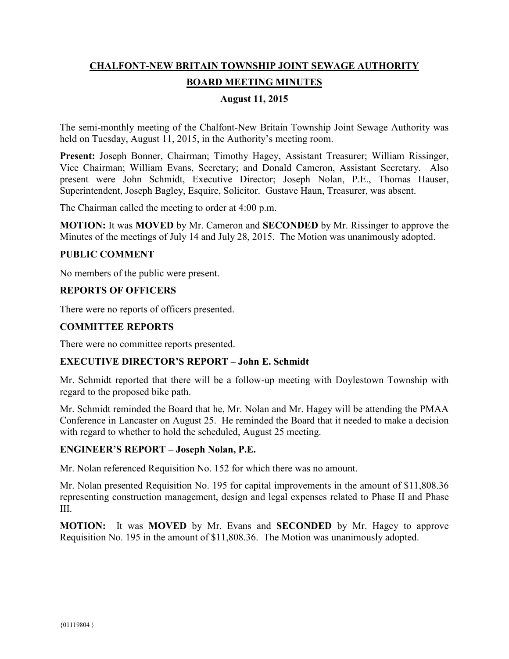# **CHALFONT-NEW BRITAIN TOWNSHIP JOINT SEWAGE AUTHORITY BOARD MEETING MINUTES**

## **August 11, 2015**

The semi-monthly meeting of the Chalfont-New Britain Township Joint Sewage Authority was held on Tuesday, August 11, 2015, in the Authority's meeting room.

**Present:** Joseph Bonner, Chairman; Timothy Hagey, Assistant Treasurer; William Rissinger, Vice Chairman; William Evans, Secretary; and Donald Cameron, Assistant Secretary. Also present were John Schmidt, Executive Director; Joseph Nolan, P.E., Thomas Hauser, Superintendent, Joseph Bagley, Esquire, Solicitor. Gustave Haun, Treasurer, was absent.

The Chairman called the meeting to order at 4:00 p.m.

**MOTION:** It was **MOVED** by Mr. Cameron and **SECONDED** by Mr. Rissinger to approve the Minutes of the meetings of July 14 and July 28, 2015. The Motion was unanimously adopted.

#### **PUBLIC COMMENT**

No members of the public were present.

### **REPORTS OF OFFICERS**

There were no reports of officers presented.

#### **COMMITTEE REPORTS**

There were no committee reports presented.

#### **EXECUTIVE DIRECTOR'S REPORT – John E. Schmidt**

Mr. Schmidt reported that there will be a follow-up meeting with Doylestown Township with regard to the proposed bike path.

Mr. Schmidt reminded the Board that he, Mr. Nolan and Mr. Hagey will be attending the PMAA Conference in Lancaster on August 25. He reminded the Board that it needed to make a decision with regard to whether to hold the scheduled, August 25 meeting.

#### **ENGINEER'S REPORT – Joseph Nolan, P.E.**

Mr. Nolan referenced Requisition No. 152 for which there was no amount.

Mr. Nolan presented Requisition No. 195 for capital improvements in the amount of \$11,808.36 representing construction management, design and legal expenses related to Phase II and Phase III.

**MOTION:** It was **MOVED** by Mr. Evans and **SECONDED** by Mr. Hagey to approve Requisition No. 195 in the amount of \$11,808.36. The Motion was unanimously adopted.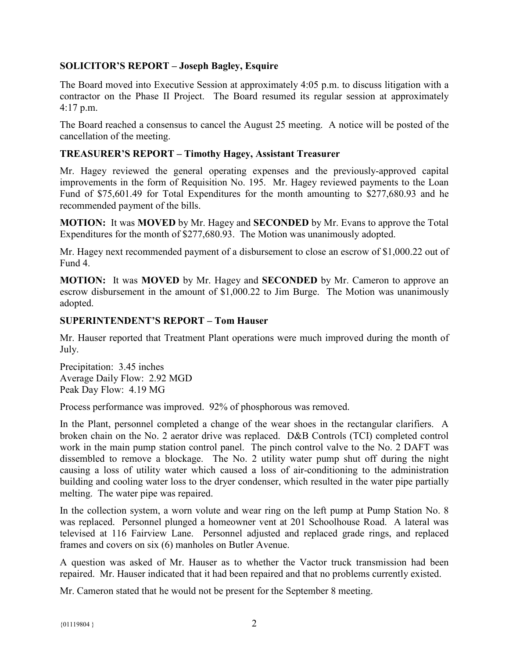# **SOLICITOR'S REPORT – Joseph Bagley, Esquire**

The Board moved into Executive Session at approximately 4:05 p.m. to discuss litigation with a contractor on the Phase II Project. The Board resumed its regular session at approximately 4:17 p.m.

The Board reached a consensus to cancel the August 25 meeting. A notice will be posted of the cancellation of the meeting.

# **TREASURER'S REPORT – Timothy Hagey, Assistant Treasurer**

Mr. Hagey reviewed the general operating expenses and the previously-approved capital improvements in the form of Requisition No. 195. Mr. Hagey reviewed payments to the Loan Fund of \$75,601.49 for Total Expenditures for the month amounting to \$277,680.93 and he recommended payment of the bills.

**MOTION:** It was **MOVED** by Mr. Hagey and **SECONDED** by Mr. Evans to approve the Total Expenditures for the month of \$277,680.93. The Motion was unanimously adopted.

Mr. Hagey next recommended payment of a disbursement to close an escrow of \$1,000.22 out of Fund 4.

**MOTION:** It was **MOVED** by Mr. Hagey and **SECONDED** by Mr. Cameron to approve an escrow disbursement in the amount of \$1,000.22 to Jim Burge. The Motion was unanimously adopted.

# **SUPERINTENDENT'S REPORT – Tom Hauser**

Mr. Hauser reported that Treatment Plant operations were much improved during the month of July.

Precipitation: 3.45 inches Average Daily Flow: 2.92 MGD Peak Day Flow: 4.19 MG

Process performance was improved. 92% of phosphorous was removed.

In the Plant, personnel completed a change of the wear shoes in the rectangular clarifiers. A broken chain on the No. 2 aerator drive was replaced. D&B Controls (TCI) completed control work in the main pump station control panel. The pinch control valve to the No. 2 DAFT was dissembled to remove a blockage. The No. 2 utility water pump shut off during the night causing a loss of utility water which caused a loss of air-conditioning to the administration building and cooling water loss to the dryer condenser, which resulted in the water pipe partially melting. The water pipe was repaired.

In the collection system, a worn volute and wear ring on the left pump at Pump Station No. 8 was replaced. Personnel plunged a homeowner vent at 201 Schoolhouse Road. A lateral was televised at 116 Fairview Lane. Personnel adjusted and replaced grade rings, and replaced frames and covers on six (6) manholes on Butler Avenue.

A question was asked of Mr. Hauser as to whether the Vactor truck transmission had been repaired. Mr. Hauser indicated that it had been repaired and that no problems currently existed.

Mr. Cameron stated that he would not be present for the September 8 meeting.